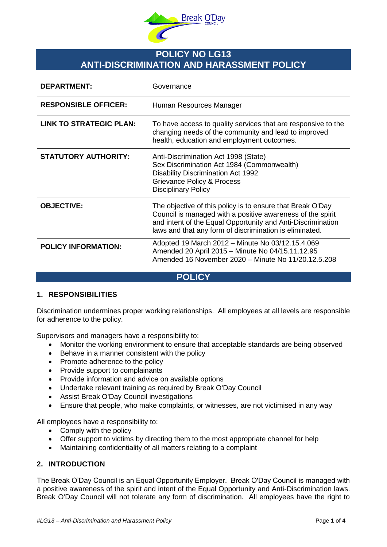

# **POLICY NO LG13 ANTI-DISCRIMINATION AND HARASSMENT POLICY**

| <b>DEPARTMENT:</b>             | Governance                                                                                                                                                                                                                                         |
|--------------------------------|----------------------------------------------------------------------------------------------------------------------------------------------------------------------------------------------------------------------------------------------------|
| <b>RESPONSIBLE OFFICER:</b>    | Human Resources Manager                                                                                                                                                                                                                            |
| <b>LINK TO STRATEGIC PLAN:</b> | To have access to quality services that are responsive to the<br>changing needs of the community and lead to improved<br>health, education and employment outcomes.                                                                                |
| <b>STATUTORY AUTHORITY:</b>    | Anti-Discrimination Act 1998 (State)<br>Sex Discrimination Act 1984 (Commonwealth)<br><b>Disability Discrimination Act 1992</b><br><b>Grievance Policy &amp; Process</b><br><b>Disciplinary Policy</b>                                             |
| <b>OBJECTIVE:</b>              | The objective of this policy is to ensure that Break O'Day<br>Council is managed with a positive awareness of the spirit<br>and intent of the Equal Opportunity and Anti-Discrimination<br>laws and that any form of discrimination is eliminated. |
| <b>POLICY INFORMATION:</b>     | Adopted 19 March 2012 - Minute No 03/12.15.4.069<br>Amended 20 April 2015 - Minute No 04/15.11.12.95<br>Amended 16 November 2020 - Minute No 11/20.12.5.208                                                                                        |

# **POLICY**

## **1. RESPONSIBILITIES**

Discrimination undermines proper working relationships. All employees at all levels are responsible for adherence to the policy.

Supervisors and managers have a responsibility to:

- Monitor the working environment to ensure that acceptable standards are being observed
- Behave in a manner consistent with the policy
- Promote adherence to the policy
- Provide support to complainants
- Provide information and advice on available options
- Undertake relevant training as required by Break O'Day Council
- Assist Break O'Day Council investigations
- Ensure that people, who make complaints, or witnesses, are not victimised in any way

All employees have a responsibility to:

- Comply with the policy
- Offer support to victims by directing them to the most appropriate channel for help
- Maintaining confidentiality of all matters relating to a complaint

## **2. INTRODUCTION**

The Break O'Day Council is an Equal Opportunity Employer. Break O'Day Council is managed with a positive awareness of the spirit and intent of the Equal Opportunity and Anti-Discrimination laws. Break O'Day Council will not tolerate any form of discrimination. All employees have the right to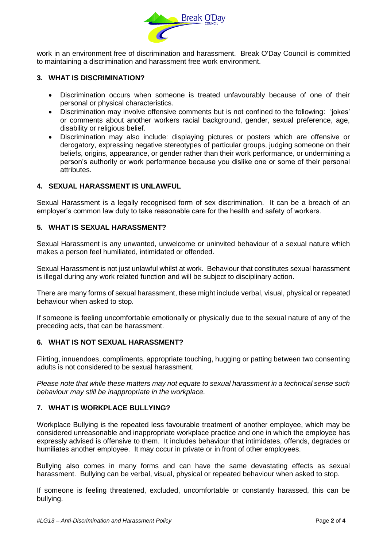

work in an environment free of discrimination and harassment. Break O'Day Council is committed to maintaining a discrimination and harassment free work environment.

## **3. WHAT IS DISCRIMINATION?**

- Discrimination occurs when someone is treated unfavourably because of one of their personal or physical characteristics.
- Discrimination may involve offensive comments but is not confined to the following: 'jokes' or comments about another workers racial background, gender, sexual preference, age, disability or religious belief.
- Discrimination may also include: displaying pictures or posters which are offensive or derogatory, expressing negative stereotypes of particular groups, judging someone on their beliefs, origins, appearance, or gender rather than their work performance, or undermining a person's authority or work performance because you dislike one or some of their personal attributes.

## **4. SEXUAL HARASSMENT IS UNLAWFUL**

Sexual Harassment is a legally recognised form of sex discrimination. It can be a breach of an employer's common law duty to take reasonable care for the health and safety of workers.

## **5. WHAT IS SEXUAL HARASSMENT?**

Sexual Harassment is any unwanted, unwelcome or uninvited behaviour of a sexual nature which makes a person feel humiliated, intimidated or offended.

Sexual Harassment is not just unlawful whilst at work. Behaviour that constitutes sexual harassment is illegal during any work related function and will be subject to disciplinary action.

There are many forms of sexual harassment, these might include verbal, visual, physical or repeated behaviour when asked to stop.

If someone is feeling uncomfortable emotionally or physically due to the sexual nature of any of the preceding acts, that can be harassment.

#### **6. WHAT IS NOT SEXUAL HARASSMENT?**

Flirting, innuendoes, compliments, appropriate touching, hugging or patting between two consenting adults is not considered to be sexual harassment.

*Please note that while these matters may not equate to sexual harassment in a technical sense such behaviour may still be inappropriate in the workplace.*

## **7. WHAT IS WORKPLACE BULLYING?**

Workplace Bullying is the repeated less favourable treatment of another employee, which may be considered unreasonable and inappropriate workplace practice and one in which the employee has expressly advised is offensive to them. It includes behaviour that intimidates, offends, degrades or humiliates another employee. It may occur in private or in front of other employees.

Bullying also comes in many forms and can have the same devastating effects as sexual harassment. Bullying can be verbal, visual, physical or repeated behaviour when asked to stop.

If someone is feeling threatened, excluded, uncomfortable or constantly harassed, this can be bullying.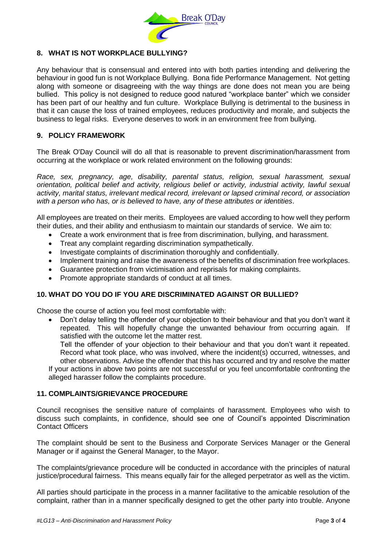

# **8. WHAT IS NOT WORKPLACE BULLYING?**

Any behaviour that is consensual and entered into with both parties intending and delivering the behaviour in good fun is not Workplace Bullying. Bona fide Performance Management. Not getting along with someone or disagreeing with the way things are done does not mean you are being bullied. This policy is not designed to reduce good natured "workplace banter" which we consider has been part of our healthy and fun culture. Workplace Bullying is detrimental to the business in that it can cause the loss of trained employees, reduces productivity and morale, and subjects the business to legal risks. Everyone deserves to work in an environment free from bullying.

### **9. POLICY FRAMEWORK**

The Break O'Day Council will do all that is reasonable to prevent discrimination/harassment from occurring at the workplace or work related environment on the following grounds:

*Race, sex, pregnancy, age, disability, parental status, religion, sexual harassment, sexual orientation, political belief and activity, religious belief or activity, industrial activity, lawful sexual activity, marital status, irrelevant medical record, irrelevant or lapsed criminal record, or association with a person who has, or is believed to have, any of these attributes or identities*.

All employees are treated on their merits. Employees are valued according to how well they perform their duties, and their ability and enthusiasm to maintain our standards of service. We aim to:

- Create a work environment that is free from discrimination, bullying, and harassment.
- Treat any complaint regarding discrimination sympathetically.
- Investigate complaints of discrimination thoroughly and confidentially.
- Implement training and raise the awareness of the benefits of discrimination free workplaces.
- Guarantee protection from victimisation and reprisals for making complaints.
- Promote appropriate standards of conduct at all times.

## **10. WHAT DO YOU DO IF YOU ARE DISCRIMINATED AGAINST OR BULLIED?**

Choose the course of action you feel most comfortable with:

 Don't delay telling the offender of your objection to their behaviour and that you don't want it repeated. This will hopefully change the unwanted behaviour from occurring again. If satisfied with the outcome let the matter rest.

Tell the offender of your objection to their behaviour and that you don't want it repeated. Record what took place, who was involved, where the incident(s) occurred, witnesses, and other observations. Advise the offender that this has occurred and try and resolve the matter If your actions in above two points are not successful or you feel uncomfortable confronting the

alleged harasser follow the complaints procedure.

#### **11. COMPLAINTS/GRIEVANCE PROCEDURE**

Council recognises the sensitive nature of complaints of harassment. Employees who wish to discuss such complaints, in confidence, should see one of Council's appointed Discrimination Contact Officers

The complaint should be sent to the Business and Corporate Services Manager or the General Manager or if against the General Manager, to the Mayor.

The complaints/grievance procedure will be conducted in accordance with the principles of natural justice/procedural fairness. This means equally fair for the alleged perpetrator as well as the victim.

All parties should participate in the process in a manner facilitative to the amicable resolution of the complaint, rather than in a manner specifically designed to get the other party into trouble. Anyone